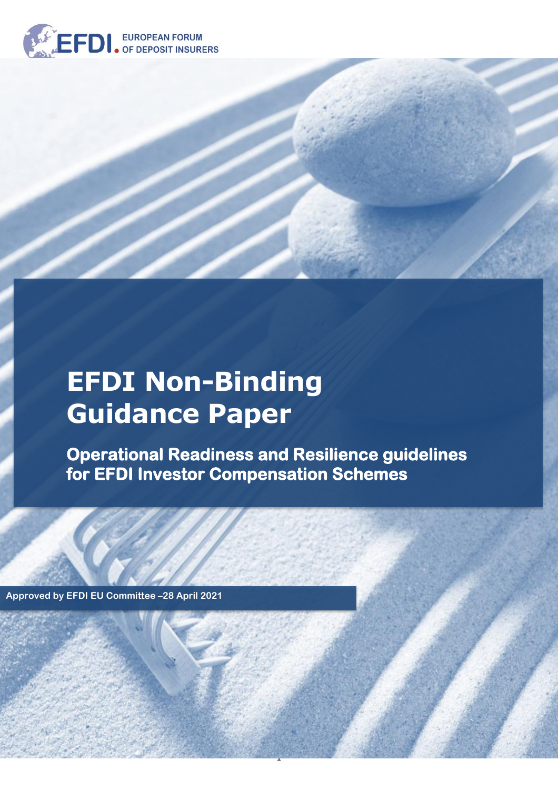

# **EFDI Non-Binding Guidance Paper**

**Operational Readiness and Resilience guidelines for EFDI Investor Compensation Schemes** 

1

**Approved by EFDI EU Committee –28 April 2021**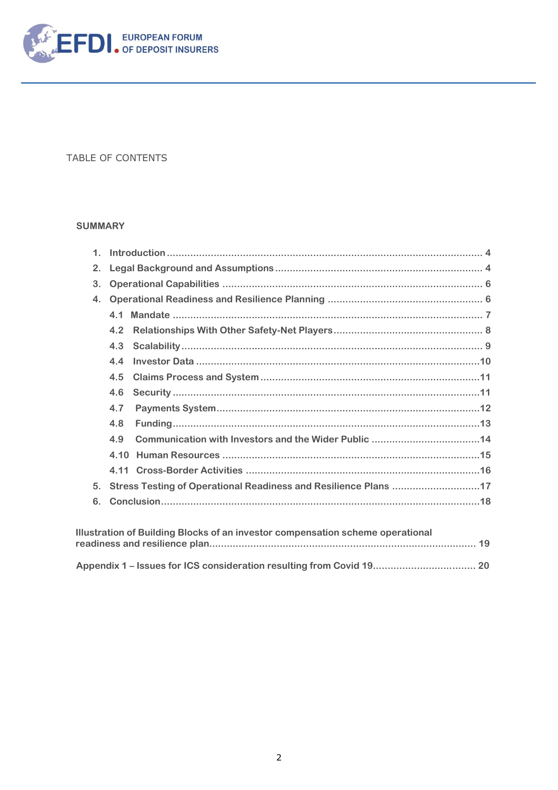

#### TABLE OF CONTENTS

#### **SUMMARY**

| $\mathbf{1}$ . |      |                                                                 |  |
|----------------|------|-----------------------------------------------------------------|--|
| 2.             |      |                                                                 |  |
| 3.             |      |                                                                 |  |
| 4.             |      |                                                                 |  |
|                | 41   |                                                                 |  |
|                | 4.2  |                                                                 |  |
|                | 4.3  |                                                                 |  |
|                | 4.4  |                                                                 |  |
|                | 4.5  |                                                                 |  |
|                | 4.6  |                                                                 |  |
|                | 4.7  |                                                                 |  |
|                | 4.8  |                                                                 |  |
|                | 4.9  |                                                                 |  |
|                | 4.10 |                                                                 |  |
|                | 4.11 |                                                                 |  |
| 5 <sub>1</sub> |      | Stress Testing of Operational Readiness and Resilience Plans 17 |  |
| 6.             |      |                                                                 |  |
|                |      |                                                                 |  |

| Illustration of Building Blocks of an investor compensation scheme operational |  |  |
|--------------------------------------------------------------------------------|--|--|
|                                                                                |  |  |
|                                                                                |  |  |
|                                                                                |  |  |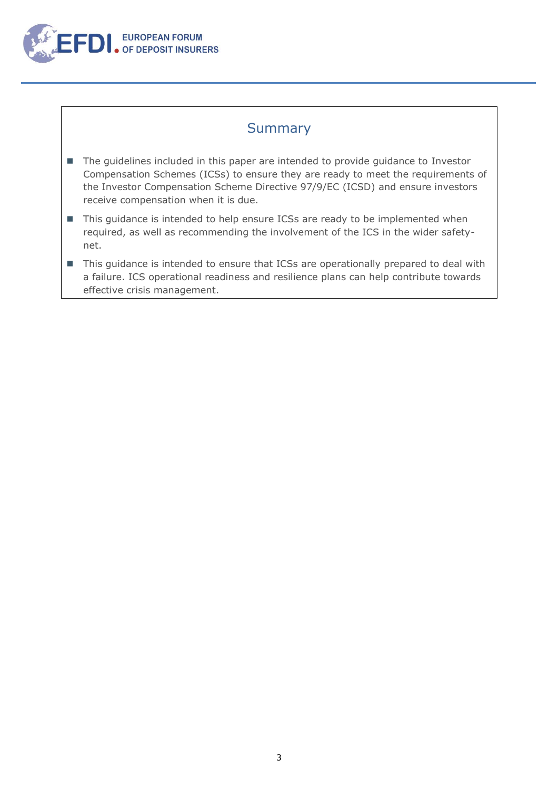

### **Summary**

- The guidelines included in this paper are intended to provide guidance to Investor Compensation Schemes (ICSs) to ensure they are ready to meet the requirements of the Investor Compensation Scheme Directive 97/9/EC (ICSD) and ensure investors receive compensation when it is due.
- This guidance is intended to help ensure ICSs are ready to be implemented when required, as well as recommending the involvement of the ICS in the wider safetynet.
- This guidance is intended to ensure that ICSs are operationally prepared to deal with a failure. ICS operational readiness and resilience plans can help contribute towards effective crisis management.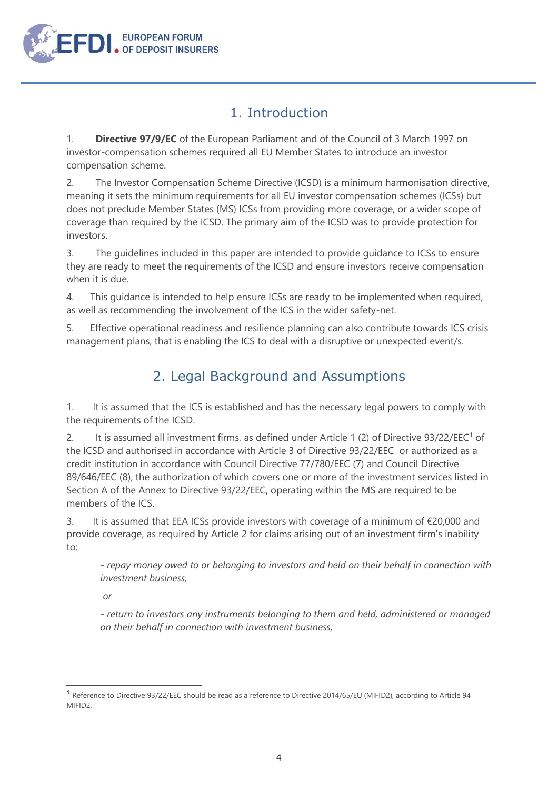

## 1. Introduction

<span id="page-3-0"></span>1. **Directive 97/9/EC** of the European Parliament and of the Council of 3 March 1997 on investor-compensation schemes required all EU Member States to introduce an investor compensation scheme.

2. The Investor Compensation Scheme Directive (ICSD) is a minimum harmonisation directive, meaning it sets the minimum requirements for all EU investor compensation schemes (ICSs) but does not preclude Member States (MS) ICSs from providing more coverage, or a wider scope of coverage than required by the ICSD. The primary aim of the ICSD was to provide protection for investors.

3. The guidelines included in this paper are intended to provide guidance to ICSs to ensure they are ready to meet the requirements of the ICSD and ensure investors receive compensation when it is due.

4. This guidance is intended to help ensure ICSs are ready to be implemented when required, as well as recommending the involvement of the ICS in the wider safety-net.

5. Effective operational readiness and resilience planning can also contribute towards ICS crisis management plans, that is enabling the ICS to deal with a disruptive or unexpected event/s.

## 2. Legal Background and Assumptions

<span id="page-3-1"></span>1. It is assumed that the ICS is established and has the necessary legal powers to comply with the requirements of the ICSD.

2. It is assumed all investment firms, as defined under Article 1 (2) of Directive  $93/22/EEC<sup>1</sup>$  of the ICSD and authorised in accordance with Article 3 of Directive 93/22/EEC or authorized as a credit institution in accordance with Council Directive 77/780/EEC (7) and Council Directive 89/646/EEC (8), the authorization of which covers one or more of the investment services listed in Section A of the Annex to Directive 93/22/EEC, operating within the MS are required to be members of the ICS.

3. It is assumed that EEA ICSs provide investors with coverage of a minimum of €20,000 and provide coverage, as required by Article 2 for claims arising out of an investment firm's inability to:

*- repay money owed to or belonging to investors and held on their behalf in connection with investment business,*

*or*

*- return to investors any instruments belonging to them and held, administered or managed on their behalf in connection with investment business,*

**<sup>1</sup>** Reference to Directive 93/22/EEC should be read as a reference to Directive 2014/65/EU (MIFID2), according to Article 94 MIFID2.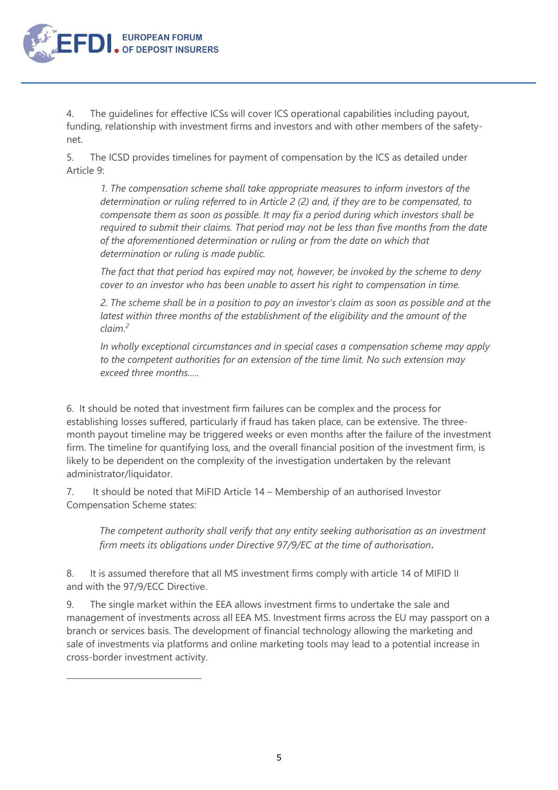4. The guidelines for effective ICSs will cover ICS operational capabilities including payout, funding, relationship with investment firms and investors and with other members of the safetynet.

**EUROPEAN FORUM** OF DEPOSIT INSURERS

5. The ICSD provides timelines for payment of compensation by the ICS as detailed under Article 9:

*1. The compensation scheme shall take appropriate measures to inform investors of the determination or ruling referred to in Article 2 (2) and, if they are to be compensated, to compensate them as soon as possible. It may fix a period during which investors shall be required to submit their claims. That period may not be less than five months from the date of the aforementioned determination or ruling or from the date on which that determination or ruling is made public.*

*The fact that that period has expired may not, however, be invoked by the scheme to deny cover to an investor who has been unable to assert his right to compensation in time.*

*2. The scheme shall be in a position to pay an investor's claim as soon as possible and at the latest within three months of the establishment of the eligibility and the amount of the claim.<sup>2</sup>*

*In wholly exceptional circumstances and in special cases a compensation scheme may apply to the competent authorities for an extension of the time limit. No such extension may exceed three months…..*

6. It should be noted that investment firm failures can be complex and the process for establishing losses suffered, particularly if fraud has taken place, can be extensive. The threemonth payout timeline may be triggered weeks or even months after the failure of the investment firm. The timeline for quantifying loss, and the overall financial position of the investment firm, is likely to be dependent on the complexity of the investigation undertaken by the relevant administrator/liquidator.

7. It should be noted that MiFID Article 14 – Membership of an authorised Investor Compensation Scheme states:

*The competent authority shall verify that any entity seeking authorisation as an investment firm meets its obligations under Directive 97/9/EC at the time of authorisation.*

8. It is assumed therefore that all MS investment firms comply with article 14 of MIFID II and with the 97/9/ECC Directive.

9. The single market within the EEA allows investment firms to undertake the sale and management of investments across all EEA MS. Investment firms across the EU may passport on a branch or services basis. The development of financial technology allowing the marketing and sale of investments via platforms and online marketing tools may lead to a potential increase in cross-border investment activity.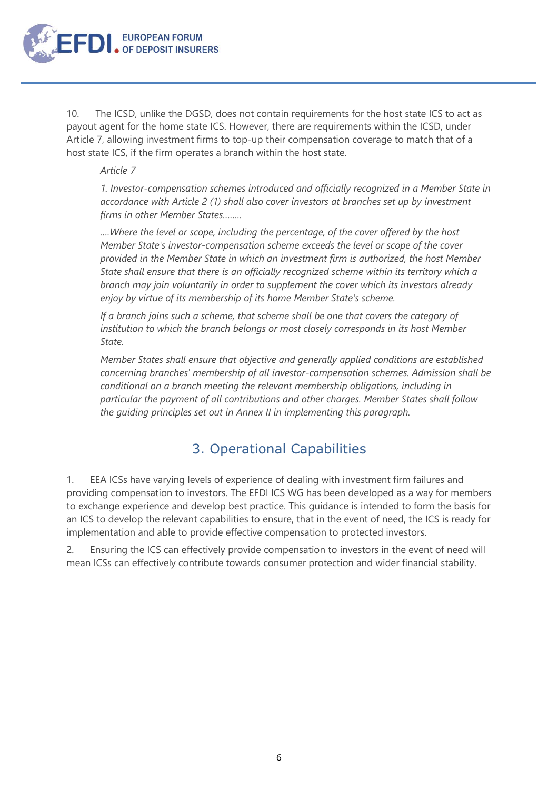

10. The ICSD, unlike the DGSD, does not contain requirements for the host state ICS to act as payout agent for the home state ICS. However, there are requirements within the ICSD, under Article 7, allowing investment firms to top-up their compensation coverage to match that of a host state ICS, if the firm operates a branch within the host state.

#### *Article 7*

*1. Investor-compensation schemes introduced and officially recognized in a Member State in accordance with Article 2 (1) shall also cover investors at branches set up by investment firms in other Member States……..*

*….Where the level or scope, including the percentage, of the cover offered by the host Member State's investor-compensation scheme exceeds the level or scope of the cover provided in the Member State in which an investment firm is authorized, the host Member State shall ensure that there is an officially recognized scheme within its territory which a branch may join voluntarily in order to supplement the cover which its investors already enjoy by virtue of its membership of its home Member State's scheme.*

*If a branch joins such a scheme, that scheme shall be one that covers the category of institution to which the branch belongs or most closely corresponds in its host Member State.*

*Member States shall ensure that objective and generally applied conditions are established concerning branches' membership of all investor-compensation schemes. Admission shall be conditional on a branch meeting the relevant membership obligations, including in particular the payment of all contributions and other charges. Member States shall follow the guiding principles set out in Annex II in implementing this paragraph.*

## 3. Operational Capabilities

<span id="page-5-0"></span>1. EEA ICSs have varying levels of experience of dealing with investment firm failures and providing compensation to investors. The EFDI ICS WG has been developed as a way for members to exchange experience and develop best practice. This guidance is intended to form the basis for an ICS to develop the relevant capabilities to ensure, that in the event of need, the ICS is ready for implementation and able to provide effective compensation to protected investors.

2. Ensuring the ICS can effectively provide compensation to investors in the event of need will mean ICSs can effectively contribute towards consumer protection and wider financial stability.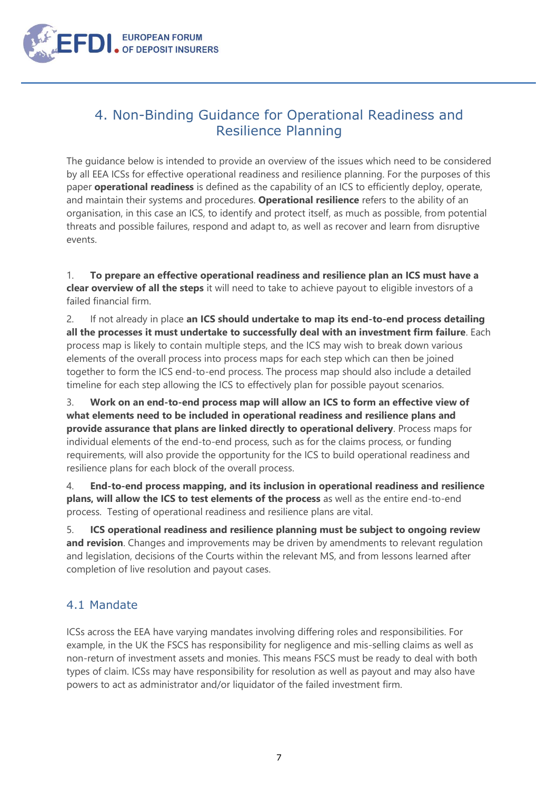

## <span id="page-6-0"></span>4. Non-Binding Guidance for Operational Readiness and Resilience Planning

The guidance below is intended to provide an overview of the issues which need to be considered by all EEA ICSs for effective operational readiness and resilience planning. For the purposes of this paper **operational readiness** is defined as the capability of an ICS to efficiently deploy, operate, and maintain their systems and procedures. **Operational resilience** refers to the ability of an organisation, in this case an ICS, to identify and protect itself, as much as possible, from potential threats and possible failures, respond and adapt to, as well as recover and learn from disruptive events.

1. **To prepare an effective operational readiness and resilience plan an ICS must have a clear overview of all the steps** it will need to take to achieve payout to eligible investors of a failed financial firm.

2. If not already in place **an ICS should undertake to map its end-to-end process detailing all the processes it must undertake to successfully deal with an investment firm failure**. Each process map is likely to contain multiple steps, and the ICS may wish to break down various elements of the overall process into process maps for each step which can then be joined together to form the ICS end-to-end process. The process map should also include a detailed timeline for each step allowing the ICS to effectively plan for possible payout scenarios.

3. **Work on an end-to-end process map will allow an ICS to form an effective view of what elements need to be included in operational readiness and resilience plans and provide assurance that plans are linked directly to operational delivery**. Process maps for individual elements of the end-to-end process, such as for the claims process, or funding requirements, will also provide the opportunity for the ICS to build operational readiness and resilience plans for each block of the overall process.

4. **End-to-end process mapping, and its inclusion in operational readiness and resilience plans, will allow the ICS to test elements of the process** as well as the entire end-to-end process. Testing of operational readiness and resilience plans are vital.

5. **ICS operational readiness and resilience planning must be subject to ongoing review**  and revision. Changes and improvements may be driven by amendments to relevant regulation and legislation, decisions of the Courts within the relevant MS, and from lessons learned after completion of live resolution and payout cases.

#### <span id="page-6-1"></span>4.1 Mandate

ICSs across the EEA have varying mandates involving differing roles and responsibilities. For example, in the UK the FSCS has responsibility for negligence and mis-selling claims as well as non-return of investment assets and monies. This means FSCS must be ready to deal with both types of claim. ICSs may have responsibility for resolution as well as payout and may also have powers to act as administrator and/or liquidator of the failed investment firm.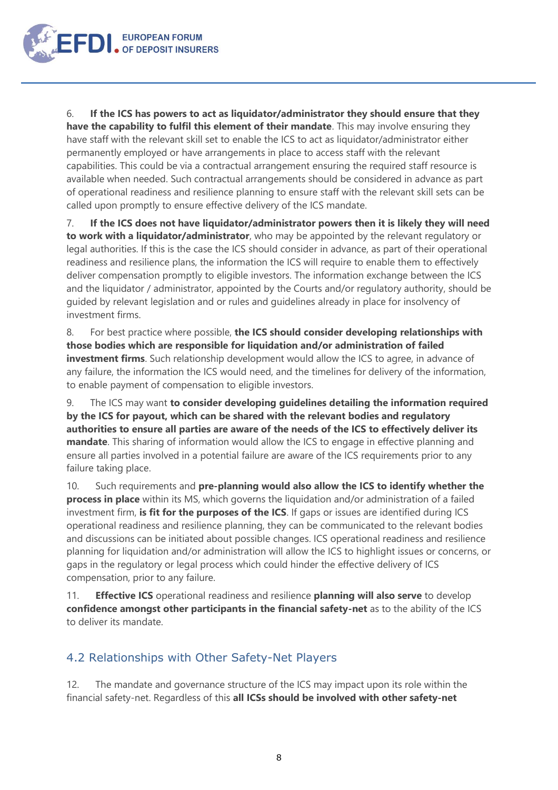

6. **If the ICS has powers to act as liquidator/administrator they should ensure that they have the capability to fulfil this element of their mandate**. This may involve ensuring they have staff with the relevant skill set to enable the ICS to act as liquidator/administrator either permanently employed or have arrangements in place to access staff with the relevant capabilities. This could be via a contractual arrangement ensuring the required staff resource is available when needed. Such contractual arrangements should be considered in advance as part of operational readiness and resilience planning to ensure staff with the relevant skill sets can be called upon promptly to ensure effective delivery of the ICS mandate.

7. **If the ICS does not have liquidator/administrator powers then it is likely they will need to work with a liquidator/administrator**, who may be appointed by the relevant regulatory or legal authorities. If this is the case the ICS should consider in advance, as part of their operational readiness and resilience plans, the information the ICS will require to enable them to effectively deliver compensation promptly to eligible investors. The information exchange between the ICS and the liquidator / administrator, appointed by the Courts and/or regulatory authority, should be guided by relevant legislation and or rules and guidelines already in place for insolvency of investment firms.

8. For best practice where possible, **the ICS should consider developing relationships with those bodies which are responsible for liquidation and/or administration of failed investment firms**. Such relationship development would allow the ICS to agree, in advance of any failure, the information the ICS would need, and the timelines for delivery of the information, to enable payment of compensation to eligible investors.

9. The ICS may want **to consider developing guidelines detailing the information required by the ICS for payout, which can be shared with the relevant bodies and regulatory authorities to ensure all parties are aware of the needs of the ICS to effectively deliver its mandate**. This sharing of information would allow the ICS to engage in effective planning and ensure all parties involved in a potential failure are aware of the ICS requirements prior to any failure taking place.

10. Such requirements and **pre-planning would also allow the ICS to identify whether the process in place** within its MS, which governs the liquidation and/or administration of a failed investment firm, **is fit for the purposes of the ICS**. If gaps or issues are identified during ICS operational readiness and resilience planning, they can be communicated to the relevant bodies and discussions can be initiated about possible changes. ICS operational readiness and resilience planning for liquidation and/or administration will allow the ICS to highlight issues or concerns, or gaps in the regulatory or legal process which could hinder the effective delivery of ICS compensation, prior to any failure.

<span id="page-7-0"></span>11. **Effective ICS** operational readiness and resilience **planning will also serve** to develop **confidence amongst other participants in the financial safety-net** as to the ability of the ICS to deliver its mandate.

#### 4.2 Relationships with Other Safety-Net Players

12. The mandate and governance structure of the ICS may impact upon its role within the financial safety-net. Regardless of this **all ICSs should be involved with other safety-net**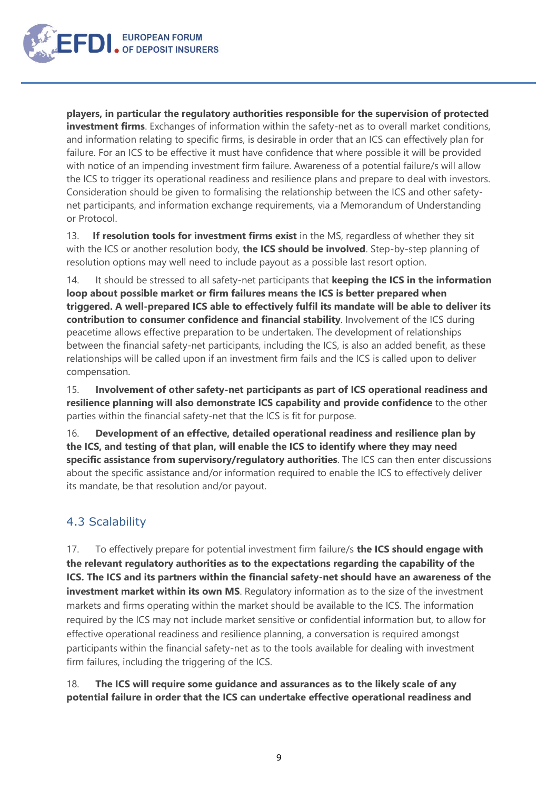

**players, in particular the regulatory authorities responsible for the supervision of protected investment firms**. Exchanges of information within the safety-net as to overall market conditions, and information relating to specific firms, is desirable in order that an ICS can effectively plan for failure. For an ICS to be effective it must have confidence that where possible it will be provided with notice of an impending investment firm failure. Awareness of a potential failure/s will allow the ICS to trigger its operational readiness and resilience plans and prepare to deal with investors. Consideration should be given to formalising the relationship between the ICS and other safetynet participants, and information exchange requirements, via a Memorandum of Understanding or Protocol.

13. **If resolution tools for investment firms exist** in the MS, regardless of whether they sit with the ICS or another resolution body, **the ICS should be involved**. Step-by-step planning of resolution options may well need to include payout as a possible last resort option.

14. It should be stressed to all safety-net participants that **keeping the ICS in the information loop about possible market or firm failures means the ICS is better prepared when triggered. A well-prepared ICS able to effectively fulfil its mandate will be able to deliver its contribution to consumer confidence and financial stability**. Involvement of the ICS during peacetime allows effective preparation to be undertaken. The development of relationships between the financial safety-net participants, including the ICS, is also an added benefit, as these relationships will be called upon if an investment firm fails and the ICS is called upon to deliver compensation.

15. **Involvement of other safety-net participants as part of ICS operational readiness and resilience planning will also demonstrate ICS capability and provide confidence** to the other parties within the financial safety-net that the ICS is fit for purpose.

16. **Development of an effective, detailed operational readiness and resilience plan by the ICS, and testing of that plan, will enable the ICS to identify where they may need specific assistance from supervisory/regulatory authorities**. The ICS can then enter discussions about the specific assistance and/or information required to enable the ICS to effectively deliver its mandate, be that resolution and/or payout.

#### <span id="page-8-0"></span>4.3 Scalability

17. To effectively prepare for potential investment firm failure/s **the ICS should engage with the relevant regulatory authorities as to the expectations regarding the capability of the ICS. The ICS and its partners within the financial safety-net should have an awareness of the investment market within its own MS**. Regulatory information as to the size of the investment markets and firms operating within the market should be available to the ICS. The information required by the ICS may not include market sensitive or confidential information but, to allow for effective operational readiness and resilience planning, a conversation is required amongst participants within the financial safety-net as to the tools available for dealing with investment firm failures, including the triggering of the ICS.

18. **The ICS will require some guidance and assurances as to the likely scale of any potential failure in order that the ICS can undertake effective operational readiness and**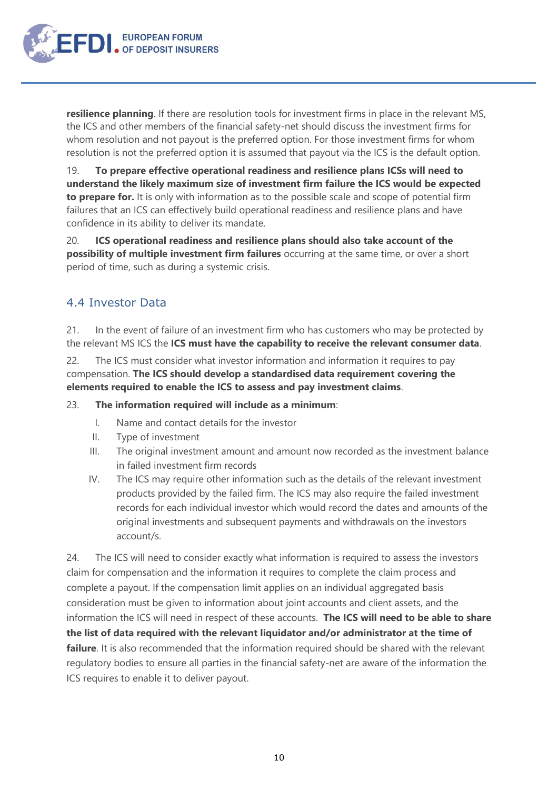**EUROPEAN FORUM** 

**resilience planning**. If there are resolution tools for investment firms in place in the relevant MS, the ICS and other members of the financial safety-net should discuss the investment firms for whom resolution and not payout is the preferred option. For those investment firms for whom resolution is not the preferred option it is assumed that payout via the ICS is the default option.

19. **To prepare effective operational readiness and resilience plans ICSs will need to understand the likely maximum size of investment firm failure the ICS would be expected to prepare for.** It is only with information as to the possible scale and scope of potential firm failures that an ICS can effectively build operational readiness and resilience plans and have confidence in its ability to deliver its mandate.

20. **ICS operational readiness and resilience plans should also take account of the possibility of multiple investment firm failures** occurring at the same time, or over a short period of time, such as during a systemic crisis.

#### <span id="page-9-0"></span>4.4 Investor Data

21. In the event of failure of an investment firm who has customers who may be protected by the relevant MS ICS the **ICS must have the capability to receive the relevant consumer data**.

22. The ICS must consider what investor information and information it requires to pay compensation. **The ICS should develop a standardised data requirement covering the elements required to enable the ICS to assess and pay investment claims**.

23. **The information required will include as a minimum**:

- I. Name and contact details for the investor
- II. Type of investment
- III. The original investment amount and amount now recorded as the investment balance in failed investment firm records
- IV. The ICS may require other information such as the details of the relevant investment products provided by the failed firm. The ICS may also require the failed investment records for each individual investor which would record the dates and amounts of the original investments and subsequent payments and withdrawals on the investors account/s.

24. The ICS will need to consider exactly what information is required to assess the investors claim for compensation and the information it requires to complete the claim process and complete a payout. If the compensation limit applies on an individual aggregated basis consideration must be given to information about joint accounts and client assets, and the information the ICS will need in respect of these accounts. **The ICS will need to be able to share the list of data required with the relevant liquidator and/or administrator at the time of failure**. It is also recommended that the information required should be shared with the relevant regulatory bodies to ensure all parties in the financial safety-net are aware of the information the ICS requires to enable it to deliver payout.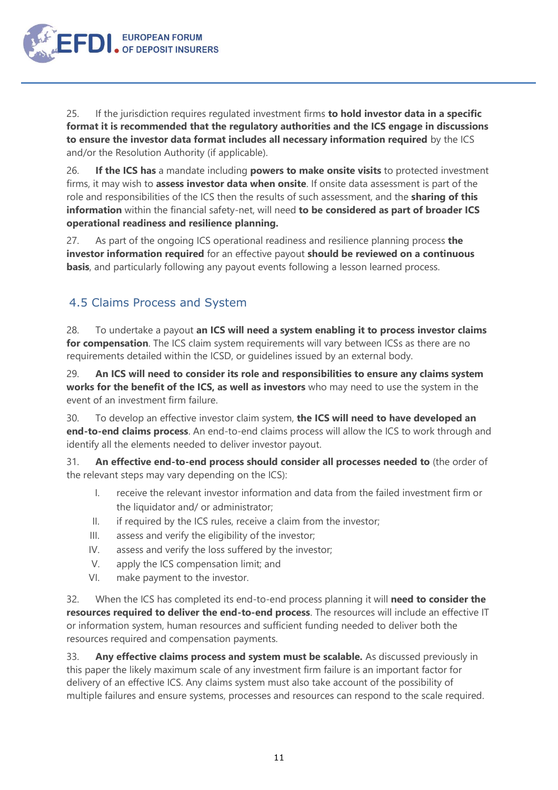

25. If the jurisdiction requires regulated investment firms **to hold investor data in a specific format it is recommended that the regulatory authorities and the ICS engage in discussions to ensure the investor data format includes all necessary information required** by the ICS and/or the Resolution Authority (if applicable).

26. **If the ICS has** a mandate including **powers to make onsite visits** to protected investment firms, it may wish to **assess investor data when onsite**. If onsite data assessment is part of the role and responsibilities of the ICS then the results of such assessment, and the **sharing of this information** within the financial safety-net, will need **to be considered as part of broader ICS operational readiness and resilience planning.**

27. As part of the ongoing ICS operational readiness and resilience planning process **the investor information required** for an effective payout **should be reviewed on a continuous basis**, and particularly following any payout events following a lesson learned process.

#### <span id="page-10-0"></span>4.5 Claims Process and System

28. To undertake a payout **an ICS will need a system enabling it to process investor claims**  for compensation. The ICS claim system requirements will vary between ICSs as there are no requirements detailed within the ICSD, or guidelines issued by an external body.

29. **An ICS will need to consider its role and responsibilities to ensure any claims system works for the benefit of the ICS, as well as investors** who may need to use the system in the event of an investment firm failure.

30. To develop an effective investor claim system, **the ICS will need to have developed an end-to-end claims process**. An end-to-end claims process will allow the ICS to work through and identify all the elements needed to deliver investor payout.

31. **An effective end-to-end process should consider all processes needed to** (the order of the relevant steps may vary depending on the ICS):

- I. receive the relevant investor information and data from the failed investment firm or the liquidator and/ or administrator;
- II. if required by the ICS rules, receive a claim from the investor;
- III. assess and verify the eligibility of the investor;
- IV. assess and verify the loss suffered by the investor;
- V. apply the ICS compensation limit; and
- VI. make payment to the investor.

32. When the ICS has completed its end-to-end process planning it will **need to consider the resources required to deliver the end-to-end process**. The resources will include an effective IT or information system, human resources and sufficient funding needed to deliver both the resources required and compensation payments.

33. **Any effective claims process and system must be scalable.** As discussed previously in this paper the likely maximum scale of any investment firm failure is an important factor for delivery of an effective ICS. Any claims system must also take account of the possibility of multiple failures and ensure systems, processes and resources can respond to the scale required.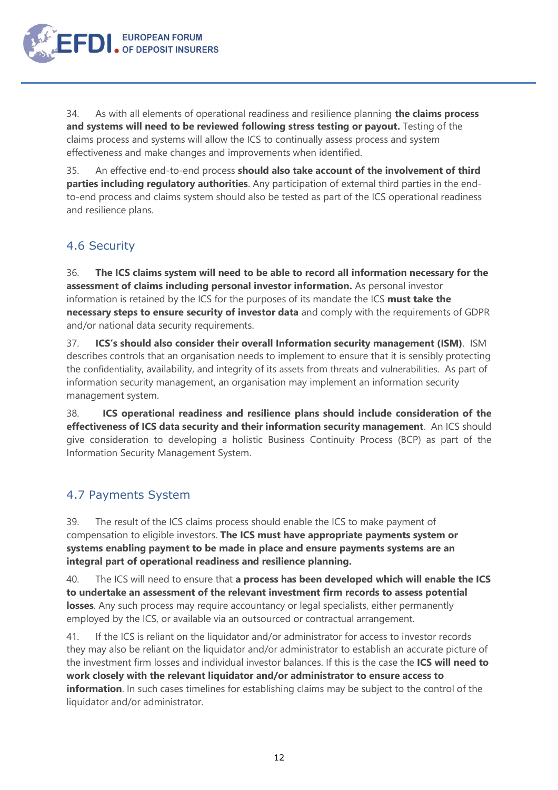

34. As with all elements of operational readiness and resilience planning **the claims process and systems will need to be reviewed following stress testing or payout.** Testing of the claims process and systems will allow the ICS to continually assess process and system effectiveness and make changes and improvements when identified.

35. An effective end-to-end process **should also take account of the involvement of third parties including regulatory authorities**. Any participation of external third parties in the endto-end process and claims system should also be tested as part of the ICS operational readiness and resilience plans.

#### <span id="page-11-0"></span>4.6 Security

36. **The ICS claims system will need to be able to record all information necessary for the assessment of claims including personal investor information.** As personal investor information is retained by the ICS for the purposes of its mandate the ICS **must take the necessary steps to ensure security of investor data** and comply with the requirements of GDPR and/or national data security requirements.

37. **ICS's should also consider their overall Information security management (ISM)**. ISM describes controls that an organisation needs to implement to ensure that it is sensibly protecting the [confidentiality](https://en.wikipedia.org/wiki/Confidentiality), availability, and integrity of its [assets](https://en.wikipedia.org/wiki/Asset) from [threats](https://en.wikipedia.org/wiki/Threat_(computer)) and [vulnerabilities](https://en.wikipedia.org/wiki/Vulnerability_(computing)). As part of information security management, an organisation may implement an information security management system.

38. **ICS operational readiness and resilience plans should include consideration of the effectiveness of ICS data security and their information security management**. An ICS should give consideration to developing a holistic Business Continuity Process (BCP) as part of the Information Security Management System.

#### <span id="page-11-1"></span>4.7 Payments System

39. The result of the ICS claims process should enable the ICS to make payment of compensation to eligible investors. **The ICS must have appropriate payments system or systems enabling payment to be made in place and ensure payments systems are an integral part of operational readiness and resilience planning.** 

40. The ICS will need to ensure that **a process has been developed which will enable the ICS to undertake an assessment of the relevant investment firm records to assess potential losses**. Any such process may require accountancy or legal specialists, either permanently employed by the ICS, or available via an outsourced or contractual arrangement.

41. If the ICS is reliant on the liquidator and/or administrator for access to investor records they may also be reliant on the liquidator and/or administrator to establish an accurate picture of the investment firm losses and individual investor balances. If this is the case the **ICS will need to work closely with the relevant liquidator and/or administrator to ensure access to information**. In such cases timelines for establishing claims may be subject to the control of the liquidator and/or administrator.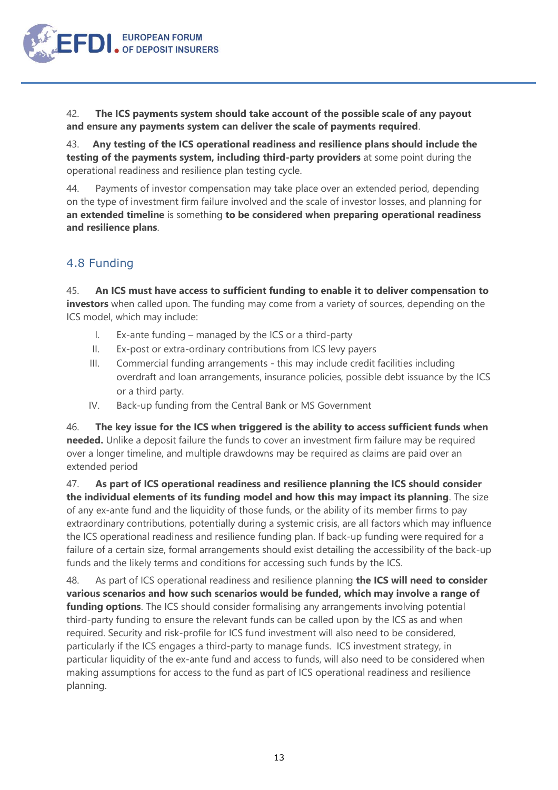

42. **The ICS payments system should take account of the possible scale of any payout and ensure any payments system can deliver the scale of payments required**.

43. **Any testing of the ICS operational readiness and resilience plans should include the testing of the payments system, including third-party providers** at some point during the operational readiness and resilience plan testing cycle.

44. Payments of investor compensation may take place over an extended period, depending on the type of investment firm failure involved and the scale of investor losses, and planning for **an extended timeline** is something **to be considered when preparing operational readiness and resilience plans**.

#### <span id="page-12-0"></span>4.8 Funding

45. **An ICS must have access to sufficient funding to enable it to deliver compensation to investors** when called upon. The funding may come from a variety of sources, depending on the ICS model, which may include:

- I. Ex-ante funding managed by the ICS or a third-party
- II. Ex-post or extra-ordinary contributions from ICS levy payers
- III. Commercial funding arrangements this may include credit facilities including overdraft and loan arrangements, insurance policies, possible debt issuance by the ICS or a third party.
- IV. Back-up funding from the Central Bank or MS Government

46. **The key issue for the ICS when triggered is the ability to access sufficient funds when needed.** Unlike a deposit failure the funds to cover an investment firm failure may be required over a longer timeline, and multiple drawdowns may be required as claims are paid over an extended period

47. **As part of ICS operational readiness and resilience planning the ICS should consider the individual elements of its funding model and how this may impact its planning**. The size of any ex-ante fund and the liquidity of those funds, or the ability of its member firms to pay extraordinary contributions, potentially during a systemic crisis, are all factors which may influence the ICS operational readiness and resilience funding plan. If back-up funding were required for a failure of a certain size, formal arrangements should exist detailing the accessibility of the back-up funds and the likely terms and conditions for accessing such funds by the ICS.

48. As part of ICS operational readiness and resilience planning **the ICS will need to consider various scenarios and how such scenarios would be funded, which may involve a range of funding options**. The ICS should consider formalising any arrangements involving potential third-party funding to ensure the relevant funds can be called upon by the ICS as and when required. Security and risk-profile for ICS fund investment will also need to be considered, particularly if the ICS engages a third-party to manage funds. ICS investment strategy, in particular liquidity of the ex-ante fund and access to funds, will also need to be considered when making assumptions for access to the fund as part of ICS operational readiness and resilience planning.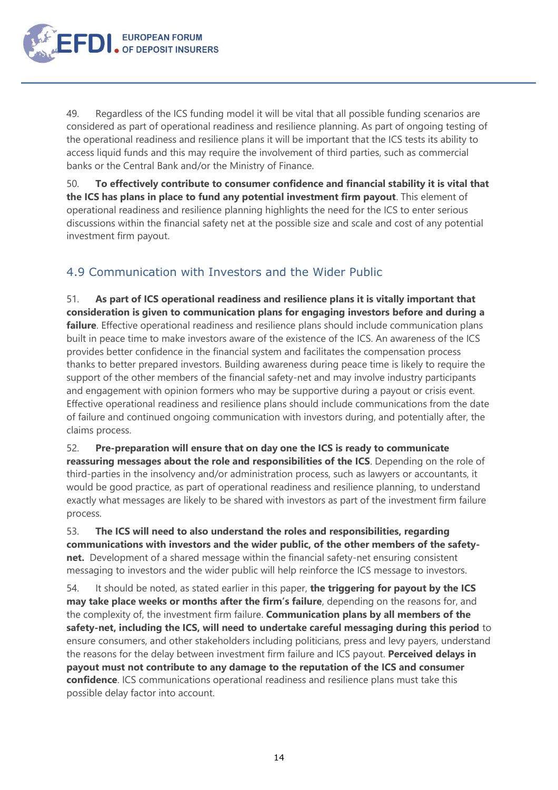

49. Regardless of the ICS funding model it will be vital that all possible funding scenarios are considered as part of operational readiness and resilience planning. As part of ongoing testing of the operational readiness and resilience plans it will be important that the ICS tests its ability to access liquid funds and this may require the involvement of third parties, such as commercial banks or the Central Bank and/or the Ministry of Finance.

50. **To effectively contribute to consumer confidence and financial stability it is vital that the ICS has plans in place to fund any potential investment firm payout**. This element of operational readiness and resilience planning highlights the need for the ICS to enter serious discussions within the financial safety net at the possible size and scale and cost of any potential investment firm payout.

#### <span id="page-13-0"></span>4.9 Communication with Investors and the Wider Public

51. **As part of ICS operational readiness and resilience plans it is vitally important that consideration is given to communication plans for engaging investors before and during a failure**. Effective operational readiness and resilience plans should include communication plans built in peace time to make investors aware of the existence of the ICS. An awareness of the ICS provides better confidence in the financial system and facilitates the compensation process thanks to better prepared investors. Building awareness during peace time is likely to require the support of the other members of the financial safety-net and may involve industry participants and engagement with opinion formers who may be supportive during a payout or crisis event. Effective operational readiness and resilience plans should include communications from the date of failure and continued ongoing communication with investors during, and potentially after, the claims process.

52. **Pre-preparation will ensure that on day one the ICS is ready to communicate reassuring messages about the role and responsibilities of the ICS**. Depending on the role of third-parties in the insolvency and/or administration process, such as lawyers or accountants, it would be good practice, as part of operational readiness and resilience planning, to understand exactly what messages are likely to be shared with investors as part of the investment firm failure process.

53. **The ICS will need to also understand the roles and responsibilities, regarding communications with investors and the wider public, of the other members of the safetynet.** Development of a shared message within the financial safety-net ensuring consistent messaging to investors and the wider public will help reinforce the ICS message to investors.

54. It should be noted, as stated earlier in this paper, **the triggering for payout by the ICS may take place weeks or months after the firm's failure**, depending on the reasons for, and the complexity of, the investment firm failure. **Communication plans by all members of the safety-net, including the ICS, will need to undertake careful messaging during this period** to ensure consumers, and other stakeholders including politicians, press and levy payers, understand the reasons for the delay between investment firm failure and ICS payout. **Perceived delays in payout must not contribute to any damage to the reputation of the ICS and consumer confidence**. ICS communications operational readiness and resilience plans must take this possible delay factor into account.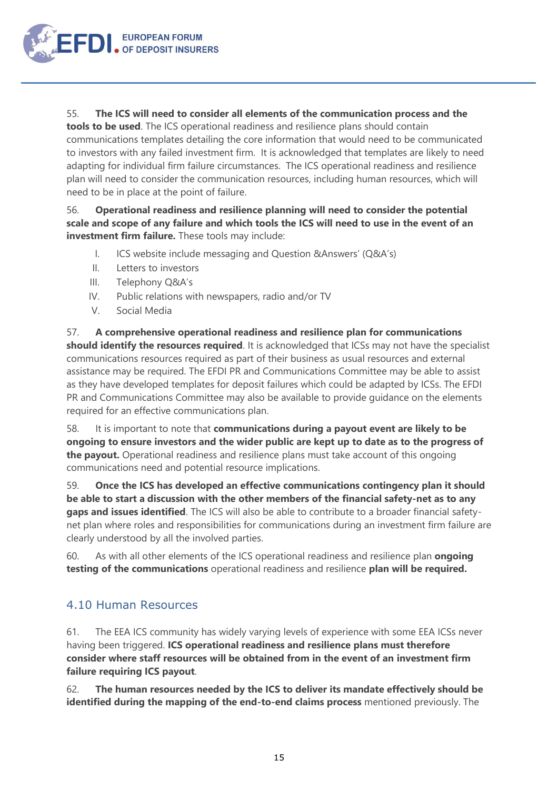

55. **The ICS will need to consider all elements of the communication process and the** 

**tools to be used**. The ICS operational readiness and resilience plans should contain communications templates detailing the core information that would need to be communicated to investors with any failed investment firm. It is acknowledged that templates are likely to need adapting for individual firm failure circumstances. The ICS operational readiness and resilience plan will need to consider the communication resources, including human resources, which will need to be in place at the point of failure.

#### 56. **Operational readiness and resilience planning will need to consider the potential scale and scope of any failure and which tools the ICS will need to use in the event of an investment firm failure.** These tools may include:

- I. ICS website include messaging and Question &Answers' (Q&A's)
- II. Letters to investors
- III. Telephony Q&A's
- IV. Public relations with newspapers, radio and/or TV
- V. Social Media

57. **A comprehensive operational readiness and resilience plan for communications should identify the resources required**. It is acknowledged that ICSs may not have the specialist communications resources required as part of their business as usual resources and external assistance may be required. The EFDI PR and Communications Committee may be able to assist as they have developed templates for deposit failures which could be adapted by ICSs. The EFDI PR and Communications Committee may also be available to provide guidance on the elements required for an effective communications plan.

58. It is important to note that **communications during a payout event are likely to be ongoing to ensure investors and the wider public are kept up to date as to the progress of the payout.** Operational readiness and resilience plans must take account of this ongoing communications need and potential resource implications.

59. **Once the ICS has developed an effective communications contingency plan it should be able to start a discussion with the other members of the financial safety-net as to any gaps and issues identified**. The ICS will also be able to contribute to a broader financial safetynet plan where roles and responsibilities for communications during an investment firm failure are clearly understood by all the involved parties.

60. As with all other elements of the ICS operational readiness and resilience plan **ongoing testing of the communications** operational readiness and resilience **plan will be required.**

#### <span id="page-14-0"></span>4.10 Human Resources

61. The EEA ICS community has widely varying levels of experience with some EEA ICSs never having been triggered. **ICS operational readiness and resilience plans must therefore consider where staff resources will be obtained from in the event of an investment firm failure requiring ICS payout**.

62. **The human resources needed by the ICS to deliver its mandate effectively should be identified during the mapping of the end-to-end claims process** mentioned previously. The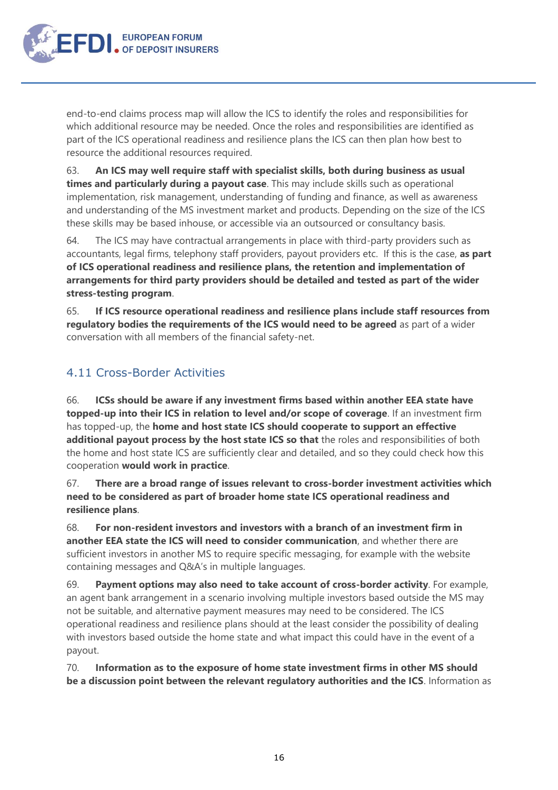**EUROPEAN FORUM** OF DEPOSIT INSURERS

> end-to-end claims process map will allow the ICS to identify the roles and responsibilities for which additional resource may be needed. Once the roles and responsibilities are identified as part of the ICS operational readiness and resilience plans the ICS can then plan how best to resource the additional resources required.

63. **An ICS may well require staff with specialist skills, both during business as usual times and particularly during a payout case**. This may include skills such as operational implementation, risk management, understanding of funding and finance, as well as awareness and understanding of the MS investment market and products. Depending on the size of the ICS these skills may be based inhouse, or accessible via an outsourced or consultancy basis.

64. The ICS may have contractual arrangements in place with third-party providers such as accountants, legal firms, telephony staff providers, payout providers etc. If this is the case, **as part of ICS operational readiness and resilience plans, the retention and implementation of arrangements for third party providers should be detailed and tested as part of the wider stress-testing program**.

65. **If ICS resource operational readiness and resilience plans include staff resources from regulatory bodies the requirements of the ICS would need to be agreed** as part of a wider conversation with all members of the financial safety-net.

#### <span id="page-15-0"></span>4.11 Cross-Border Activities

66. **ICSs should be aware if any investment firms based within another EEA state have topped-up into their ICS in relation to level and/or scope of coverage**. If an investment firm has topped-up, the **home and host state ICS should cooperate to support an effective additional payout process by the host state ICS so that** the roles and responsibilities of both the home and host state ICS are sufficiently clear and detailed, and so they could check how this cooperation **would work in practice**.

67. **There are a broad range of issues relevant to cross-border investment activities which need to be considered as part of broader home state ICS operational readiness and resilience plans**.

68. **For non-resident investors and investors with a branch of an investment firm in another EEA state the ICS will need to consider communication**, and whether there are sufficient investors in another MS to require specific messaging, for example with the website containing messages and Q&A's in multiple languages.

69. **Payment options may also need to take account of cross-border activity**. For example, an agent bank arrangement in a scenario involving multiple investors based outside the MS may not be suitable, and alternative payment measures may need to be considered. The ICS operational readiness and resilience plans should at the least consider the possibility of dealing with investors based outside the home state and what impact this could have in the event of a payout.

70. **Information as to the exposure of home state investment firms in other MS should be a discussion point between the relevant regulatory authorities and the ICS**. Information as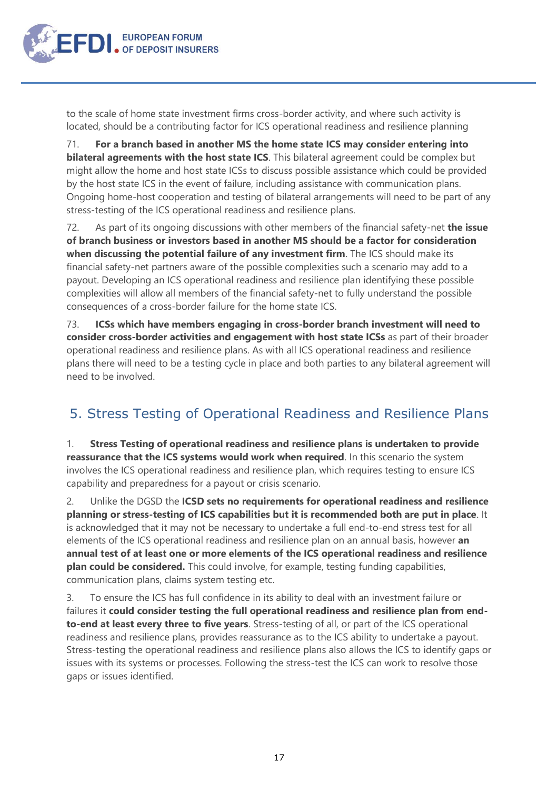

to the scale of home state investment firms cross-border activity, and where such activity is located, should be a contributing factor for ICS operational readiness and resilience planning

71. **For a branch based in another MS the home state ICS may consider entering into bilateral agreements with the host state ICS**. This bilateral agreement could be complex but might allow the home and host state ICSs to discuss possible assistance which could be provided by the host state ICS in the event of failure, including assistance with communication plans. Ongoing home-host cooperation and testing of bilateral arrangements will need to be part of any stress-testing of the ICS operational readiness and resilience plans.

72. As part of its ongoing discussions with other members of the financial safety-net **the issue of branch business or investors based in another MS should be a factor for consideration when discussing the potential failure of any investment firm**. The ICS should make its financial safety-net partners aware of the possible complexities such a scenario may add to a payout. Developing an ICS operational readiness and resilience plan identifying these possible complexities will allow all members of the financial safety-net to fully understand the possible consequences of a cross-border failure for the home state ICS.

73. **ICSs which have members engaging in cross-border branch investment will need to consider cross-border activities and engagement with host state ICSs** as part of their broader operational readiness and resilience plans. As with all ICS operational readiness and resilience plans there will need to be a testing cycle in place and both parties to any bilateral agreement will need to be involved.

## <span id="page-16-0"></span>5. Stress Testing of Operational Readiness and Resilience Plans

1. **Stress Testing of operational readiness and resilience plans is undertaken to provide reassurance that the ICS systems would work when required**. In this scenario the system involves the ICS operational readiness and resilience plan, which requires testing to ensure ICS capability and preparedness for a payout or crisis scenario.

2. Unlike the DGSD the **ICSD sets no requirements for operational readiness and resilience planning or stress-testing of ICS capabilities but it is recommended both are put in place**. It is acknowledged that it may not be necessary to undertake a full end-to-end stress test for all elements of the ICS operational readiness and resilience plan on an annual basis, however **an annual test of at least one or more elements of the ICS operational readiness and resilience plan could be considered.** This could involve, for example, testing funding capabilities, communication plans, claims system testing etc.

3. To ensure the ICS has full confidence in its ability to deal with an investment failure or failures it **could consider testing the full operational readiness and resilience plan from endto-end at least every three to five years**. Stress-testing of all, or part of the ICS operational readiness and resilience plans, provides reassurance as to the ICS ability to undertake a payout. Stress-testing the operational readiness and resilience plans also allows the ICS to identify gaps or issues with its systems or processes. Following the stress-test the ICS can work to resolve those gaps or issues identified.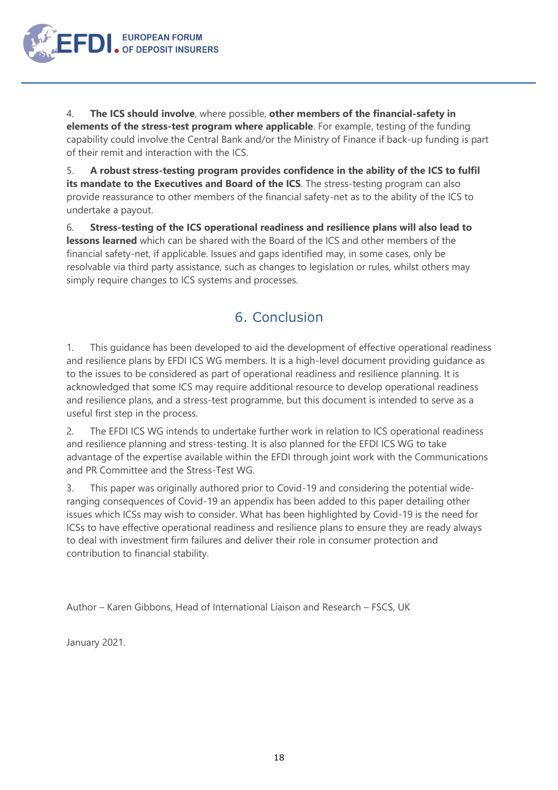4. **The ICS should involve**, where possible, **other members of the financial-safety in elements of the stress-test program where applicable**. For example, testing of the funding capability could involve the Central Bank and/or the Ministry of Finance if back-up funding is part of their remit and interaction with the ICS.

**EUROPEAN FORUM** 

5. **A robust stress-testing program provides confidence in the ability of the ICS to fulfil its mandate to the Executives and Board of the ICS**. The stress-testing program can also provide reassurance to other members of the financial safety-net as to the ability of the ICS to undertake a payout.

6. **Stress-testing of the ICS operational readiness and resilience plans will also lead to lessons learned** which can be shared with the Board of the ICS and other members of the financial safety-net, if applicable. Issues and gaps identified may, in some cases, only be resolvable via third party assistance, such as changes to legislation or rules, whilst others may simply require changes to ICS systems and processes.

## 6. Conclusion

<span id="page-17-0"></span>1. This guidance has been developed to aid the development of effective operational readiness and resilience plans by EFDI ICS WG members. It is a high-level document providing guidance as to the issues to be considered as part of operational readiness and resilience planning. It is acknowledged that some ICS may require additional resource to develop operational readiness and resilience plans, and a stress-test programme, but this document is intended to serve as a useful first step in the process.

2. The EFDI ICS WG intends to undertake further work in relation to ICS operational readiness and resilience planning and stress-testing. It is also planned for the EFDI ICS WG to take advantage of the expertise available within the EFDI through joint work with the Communications and PR Committee and the Stress-Test WG.

3. This paper was originally authored prior to Covid-19 and considering the potential wideranging consequences of Covid-19 an appendix has been added to this paper detailing other issues which ICSs may wish to consider. What has been highlighted by Covid-19 is the need for ICSs to have effective operational readiness and resilience plans to ensure they are ready always to deal with investment firm failures and deliver their role in consumer protection and contribution to financial stability.

Author – Karen Gibbons, Head of International Liaison and Research – FSCS, UK

January 2021.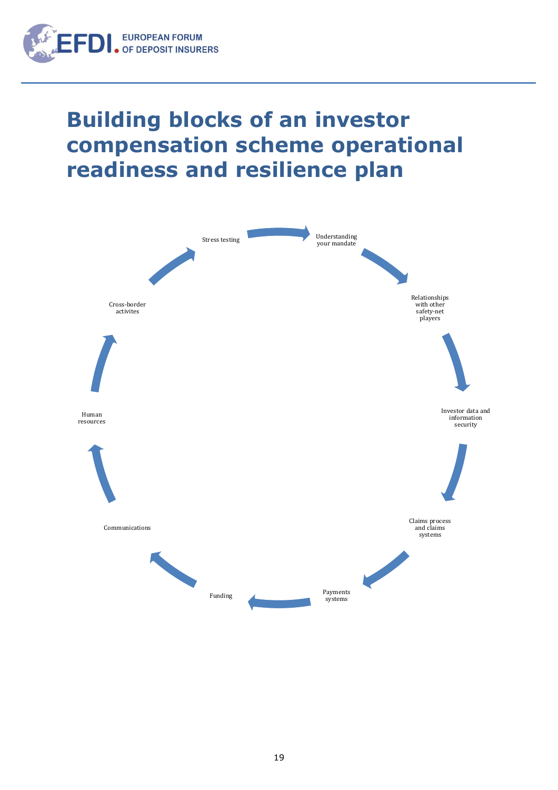

## **Building blocks of an investor compensation scheme operational readiness and resilience plan**